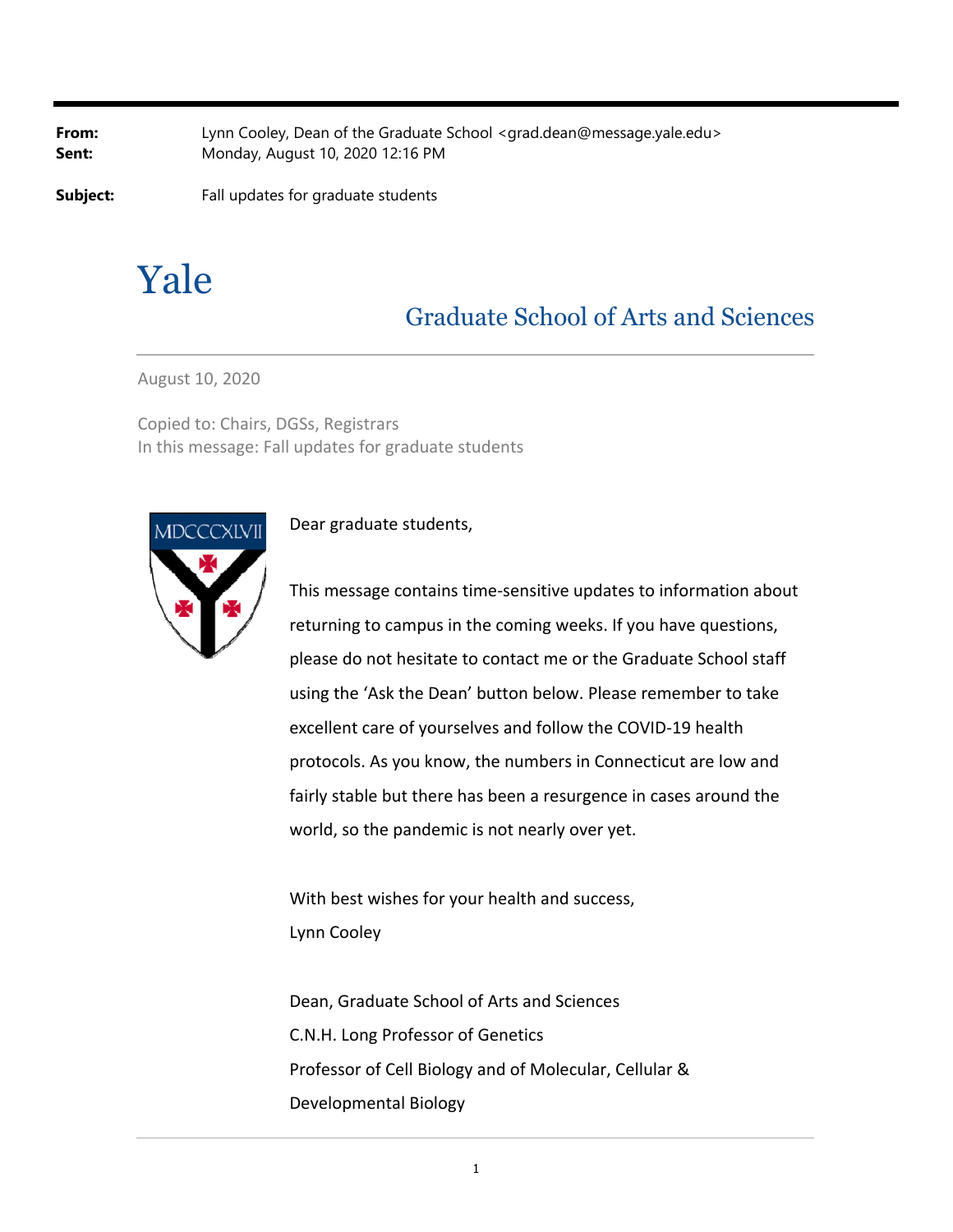**From:** Lynn Cooley, Dean of the Graduate School <grad.dean@message.yale.edu> **Sent:** Monday, August 10, 2020 12:16 PM

**Subject:** Fall updates for graduate students

# Yale

# Graduate School of Arts and Sciences

August 10, 2020

Copied to: Chairs, DGSs, Registrars In this message: Fall updates for graduate students



# Dear graduate students,

This message contains time‐sensitive updates to information about returning to campus in the coming weeks. If you have questions, please do not hesitate to contact me or the Graduate School staff using the 'Ask the Dean' button below. Please remember to take excellent care of yourselves and follow the COVID‐19 health protocols. As you know, the numbers in Connecticut are low and fairly stable but there has been a resurgence in cases around the world, so the pandemic is not nearly over yet.

With best wishes for your health and success, Lynn Cooley

Dean, Graduate School of Arts and Sciences C.N.H. Long Professor of Genetics Professor of Cell Biology and of Molecular, Cellular & Developmental Biology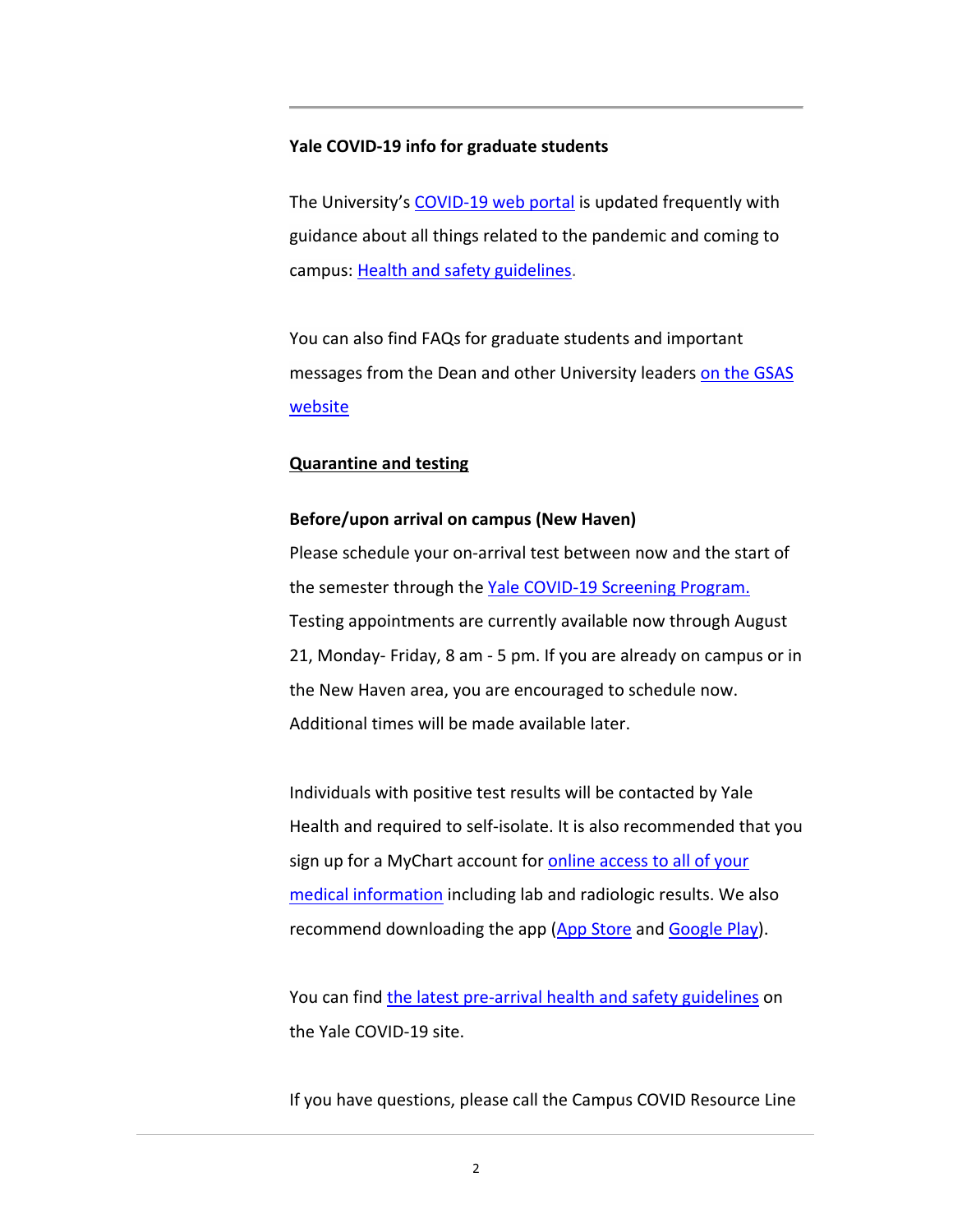# **Yale COVID‐19 info for graduate students**

The University's COVID-19 web portal is updated frequently with guidance about all things related to the pandemic and coming to campus: Health and safety guidelines.

You can also find FAQs for graduate students and important messages from the Dean and other University leaders on the GSAS **website** 

# **Quarantine and testing**

# **Before/upon arrival on campus (New Haven)**

Please schedule your on‐arrival test between now and the start of the semester through the Yale COVID-19 Screening Program. Testing appointments are currently available now through August 21, Monday‐ Friday, 8 am ‐ 5 pm. If you are already on campus or in the New Haven area, you are encouraged to schedule now. Additional times will be made available later.

Individuals with positive test results will be contacted by Yale Health and required to self‐isolate. It is also recommended that you sign up for a MyChart account for **online access to all of your** medical information including lab and radiologic results. We also recommend downloading the app (App Store and Google Play).

You can find the latest pre-arrival health and safety guidelines on the Yale COVID‐19 site.

If you have questions, please call the Campus COVID Resource Line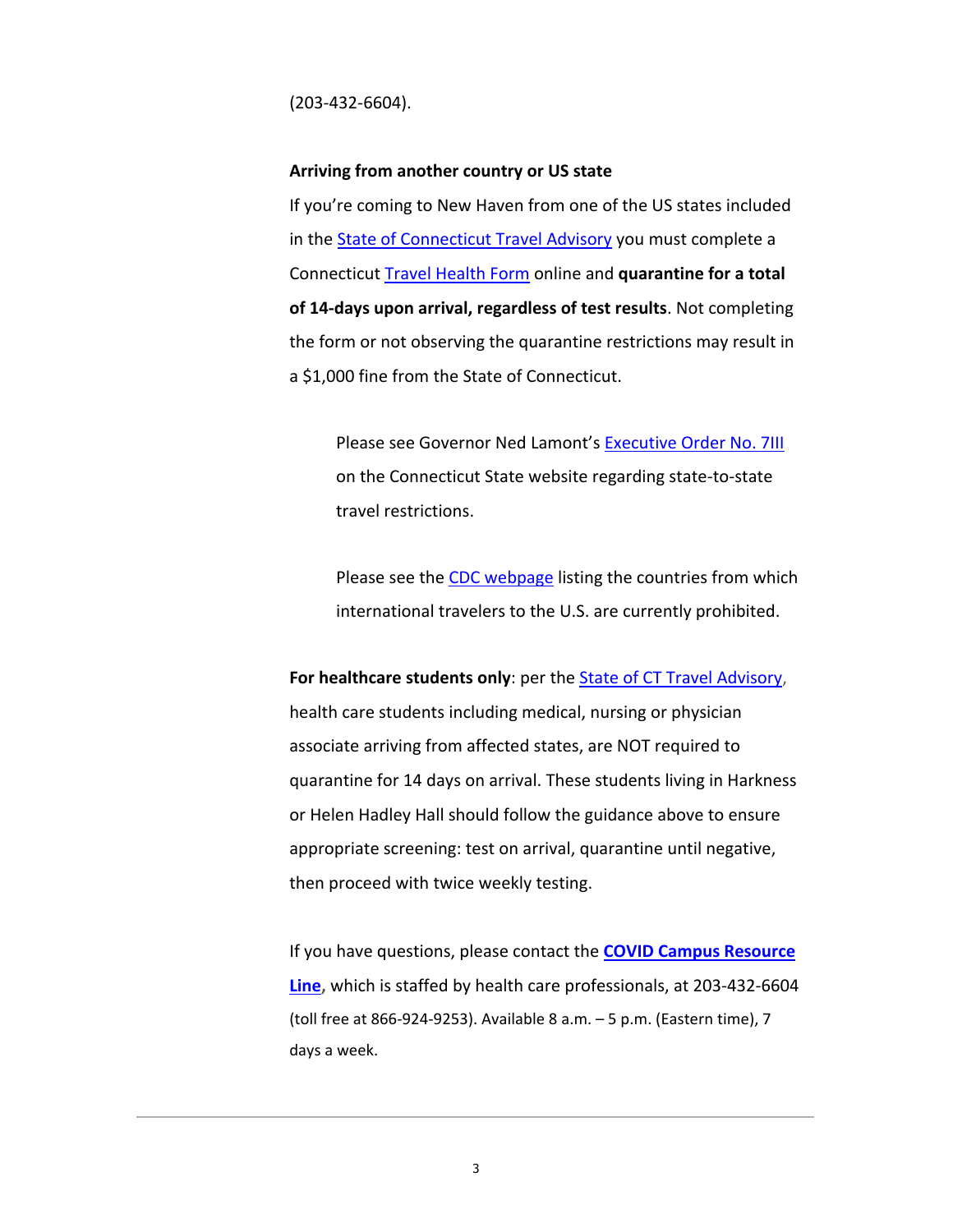(203‐432‐6604).

#### **Arriving from another country or US state**

If you're coming to New Haven from one of the US states included in the State of Connecticut Travel Advisory you must complete a Connecticut Travel Health Form online and **quarantine for a total of 14‐days upon arrival, regardless of test results**. Not completing the form or not observing the quarantine restrictions may result in a \$1,000 fine from the State of Connecticut.

Please see Governor Ned Lamont's Executive Order No. 7III on the Connecticut State website regarding state‐to‐state travel restrictions.

Please see the CDC webpage listing the countries from which international travelers to the U.S. are currently prohibited.

**For healthcare students only**: per the State of CT Travel Advisory, health care students including medical, nursing or physician associate arriving from affected states, are NOT required to quarantine for 14 days on arrival. These students living in Harkness or Helen Hadley Hall should follow the guidance above to ensure appropriate screening: test on arrival, quarantine until negative, then proceed with twice weekly testing.

If you have questions, please contact the **COVID Campus Resource Line,** which is staffed by health care professionals, at 203‐432‐6604 (toll free at 866‐924‐9253). Available 8 a.m. – 5 p.m. (Eastern time), 7 days a week.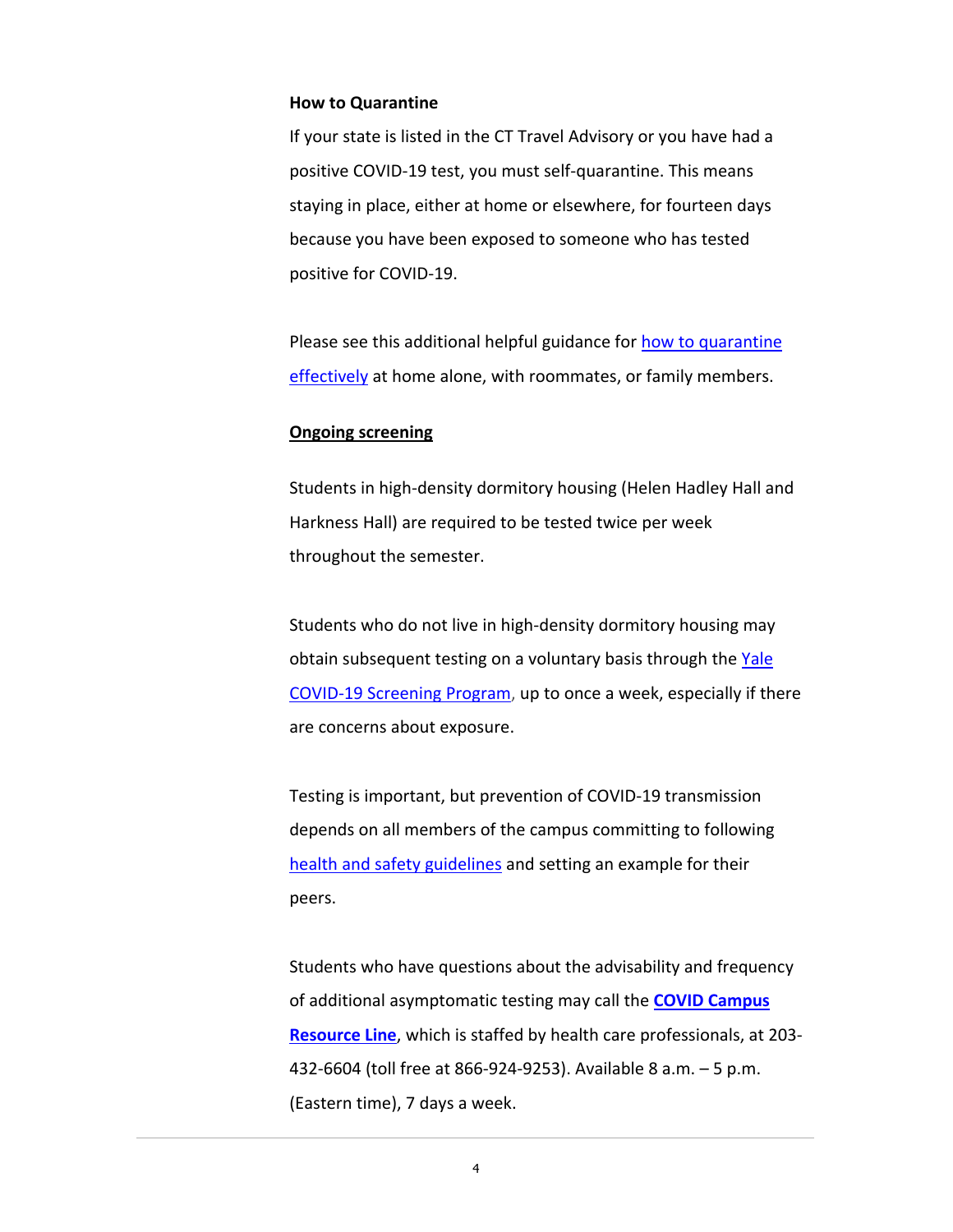#### **How to Quarantine**

If your state is listed in the CT Travel Advisory or you have had a positive COVID‐19 test, you must self‐quarantine. This means staying in place, either at home or elsewhere, for fourteen days because you have been exposed to someone who has tested positive for COVID‐19.

Please see this additional helpful guidance for how to quarantine effectively at home alone, with roommates, or family members.

### **Ongoing screening**

Students in high‐density dormitory housing (Helen Hadley Hall and Harkness Hall) are required to be tested twice per week throughout the semester.

Students who do not live in high‐density dormitory housing may obtain subsequent testing on a voluntary basis through the Yale COVID‐19 Screening Program, up to once a week, especially if there are concerns about exposure.

Testing is important, but prevention of COVID‐19 transmission depends on all members of the campus committing to following health and safety guidelines and setting an example for their peers.

Students who have questions about the advisability and frequency of additional asymptomatic testing may call the **COVID Campus Resource Line**, which is staffed by health care professionals, at 203‐ 432‐6604 (toll free at 866‐924‐9253). Available 8 a.m. – 5 p.m. (Eastern time), 7 days a week.

4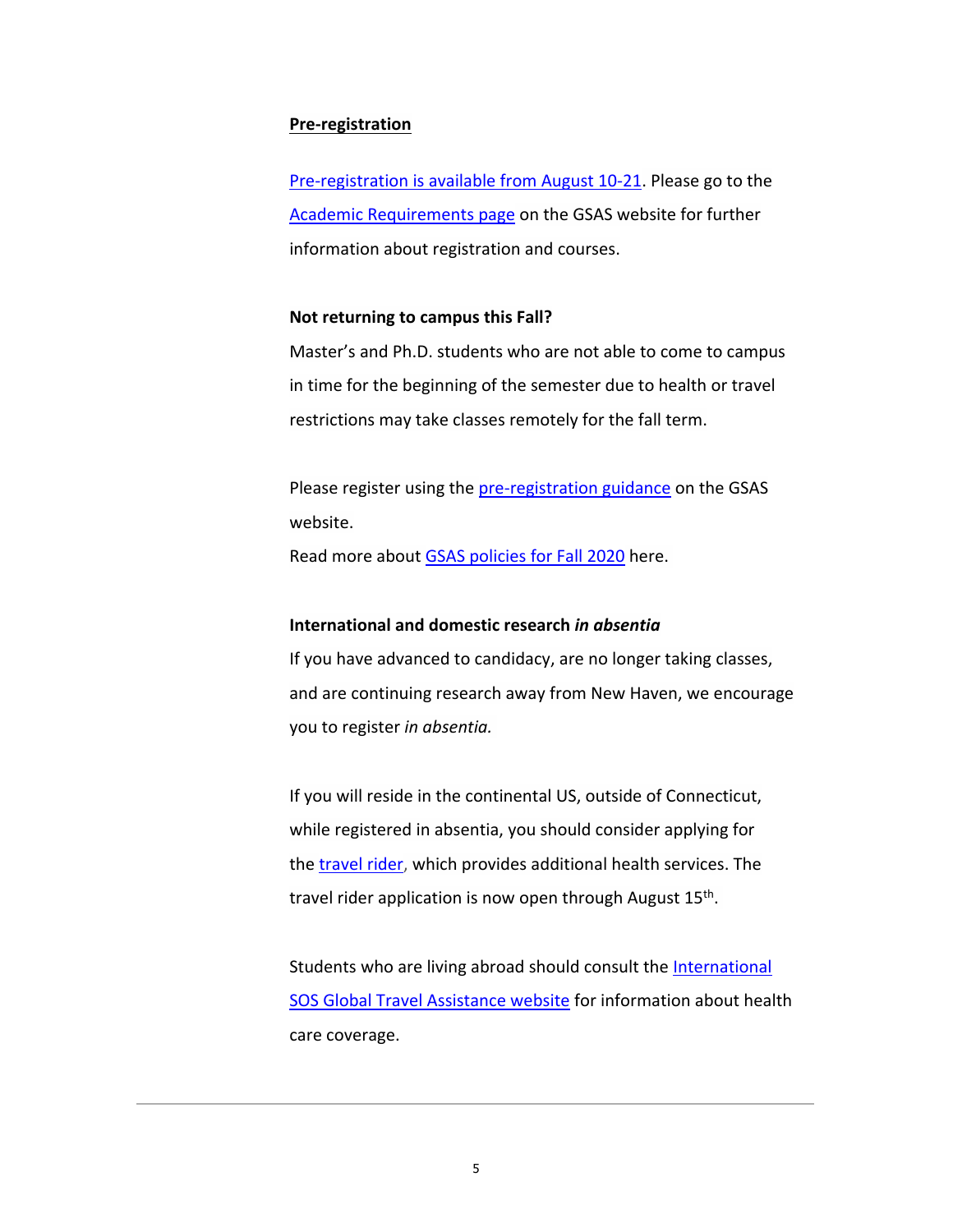#### **Pre‐registration**

Pre‐registration is available from August 10‐21. Please go to the Academic Requirements page on the GSAS website for further information about registration and courses.

#### **Not returning to campus this Fall?**

Master's and Ph.D. students who are not able to come to campus in time for the beginning of the semester due to health or travel restrictions may take classes remotely for the fall term.

Please register using the pre-registration guidance on the GSAS website.

Read more about GSAS policies for Fall 2020 here.

#### **International and domestic research** *in absentia*

If you have advanced to candidacy, are no longer taking classes, and are continuing research away from New Haven, we encourage you to register *in absentia.*

If you will reside in the continental US, outside of Connecticut, while registered in absentia, you should consider applying for the travel rider, which provides additional health services. The travel rider application is now open through August 15<sup>th</sup>.

Students who are living abroad should consult the International SOS Global Travel Assistance website for information about health care coverage.